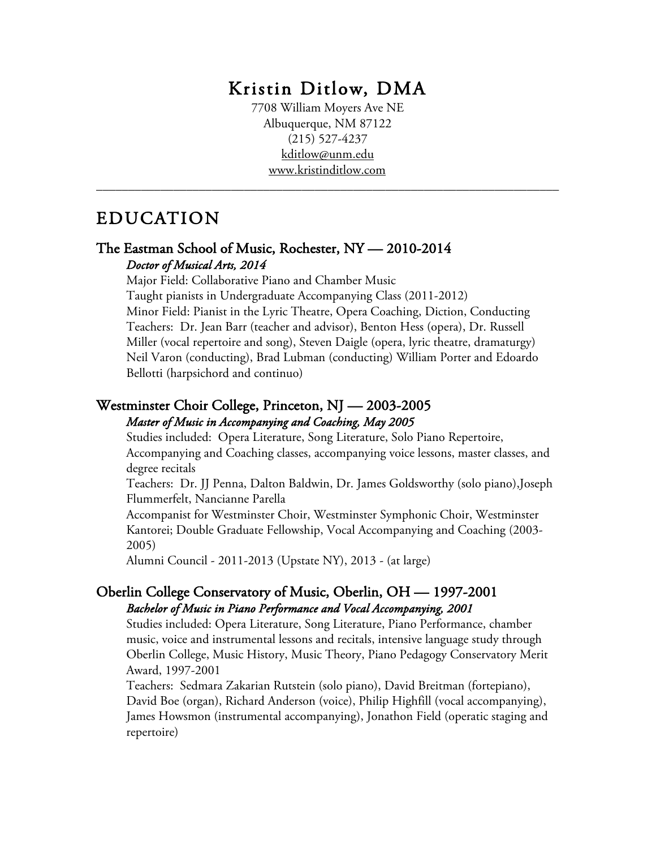# Kristin Ditlow, DMA 7708 William Moyers Ave NE

Albuquerque, NM 87122 (215) 527-4237 kditlow@unm.edu www.kristinditlow.com

\_\_\_\_\_\_\_\_\_\_\_\_\_\_\_\_\_\_\_\_\_\_\_\_\_\_\_\_\_\_\_\_\_\_\_\_\_\_\_\_\_\_\_\_\_\_\_\_\_\_\_\_\_\_\_\_\_\_\_\_\_\_\_\_\_\_\_\_\_\_\_\_

### EDUCATION

### The Eastman School of Music, Rochester, NY — 2010-2014 *Doctor of Musical Arts, 2014*

Major Field: Collaborative Piano and Chamber Music

Taught pianists in Undergraduate Accompanying Class (2011-2012) Minor Field: Pianist in the Lyric Theatre, Opera Coaching, Diction, Conducting Teachers: Dr. Jean Barr (teacher and advisor), Benton Hess (opera), Dr. Russell Miller (vocal repertoire and song), Steven Daigle (opera, lyric theatre, dramaturgy) Neil Varon (conducting), Brad Lubman (conducting) William Porter and Edoardo Bellotti (harpsichord and continuo)

### Westminster Choir College, Princeton, NJ — 2003-2005 *Master of Music in Accompanying and Coaching, May 2005*

Studies included: Opera Literature, Song Literature, Solo Piano Repertoire, Accompanying and Coaching classes, accompanying voice lessons, master classes, and degree recitals

Teachers: Dr. JJ Penna, Dalton Baldwin, Dr. James Goldsworthy (solo piano),Joseph Flummerfelt, Nancianne Parella

Accompanist for Westminster Choir, Westminster Symphonic Choir, Westminster Kantorei; Double Graduate Fellowship, Vocal Accompanying and Coaching (2003- 2005)

Alumni Council - 2011-2013 (Upstate NY), 2013 - (at large)

### Oberlin College Conservatory of Music, Oberlin, OH — 1997-2001 *Bachelor of Music in Piano Performance and Vocal Accompanying, 2001*

Studies included: Opera Literature, Song Literature, Piano Performance, chamber music, voice and instrumental lessons and recitals, intensive language study through Oberlin College, Music History, Music Theory, Piano Pedagogy Conservatory Merit Award, 1997-2001

Teachers: Sedmara Zakarian Rutstein (solo piano), David Breitman (fortepiano), David Boe (organ), Richard Anderson (voice), Philip Highfill (vocal accompanying), James Howsmon (instrumental accompanying), Jonathon Field (operatic staging and repertoire)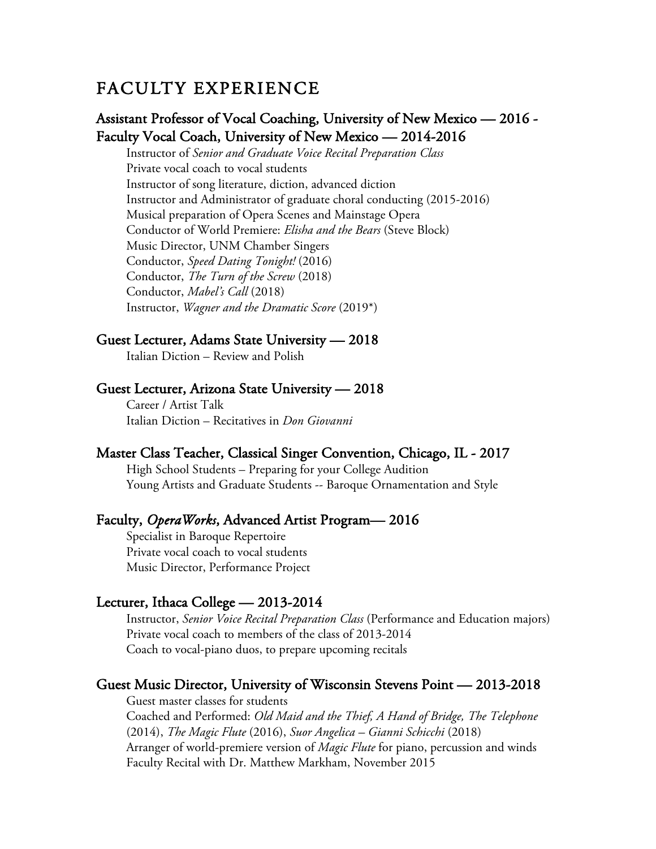### FACULTY EXPERIENCE

### Assistant Professor of Vocal Coaching, University of New Mexico — 2016 - Faculty Vocal Coach, University of New Mexico — 2014-2016

Instructor of *Senior and Graduate Voice Recital Preparation Class* Private vocal coach to vocal students Instructor of song literature, diction, advanced diction Instructor and Administrator of graduate choral conducting (2015-2016) Musical preparation of Opera Scenes and Mainstage Opera Conductor of World Premiere: *Elisha and the Bears* (Steve Block) Music Director, UNM Chamber Singers Conductor, *Speed Dating Tonight!* (2016) Conductor, *The Turn of the Screw* (2018) Conductor, *Mabel's Call* (2018) Instructor, *Wagner and the Dramatic Score* (2019\*)

### Guest Lecturer, Adams State University — 2018

Italian Diction – Review and Polish

### Guest Lecturer, Arizona State University — 2018

 Career / Artist Talk Italian Diction – Recitatives in *Don Giovanni*

### Master Class Teacher, Classical Singer Convention, Chicago, IL - 2017

 High School Students – Preparing for your College Audition Young Artists and Graduate Students -- Baroque Ornamentation and Style

### Faculty, *OperaWorks*, Advanced Artist Program— 2016

 Specialist in Baroque Repertoire Private vocal coach to vocal students Music Director, Performance Project

### Lecturer, Ithaca College — 2013-2014

Instructor, *Senior Voice Recital Preparation Class* (Performance and Education majors) Private vocal coach to members of the class of 2013-2014 Coach to vocal-piano duos, to prepare upcoming recitals

### Guest Music Director, University of Wisconsin Stevens Point — 2013-2018

Guest master classes for students Coached and Performed: *Old Maid and the Thief, A Hand of Bridge, The Telephone*  (2014), *The Magic Flute* (2016), *Suor Angelica – Gianni Schicchi* (2018) Arranger of world-premiere version of *Magic Flute* for piano, percussion and winds Faculty Recital with Dr. Matthew Markham, November 2015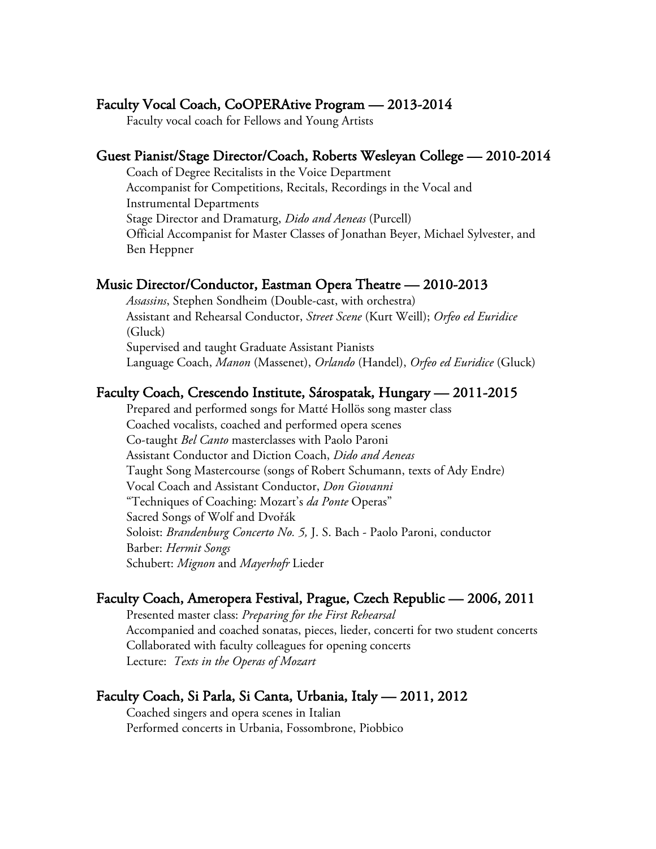### Faculty Vocal Coach, CoOPERAtive Program — 2013-2014

Faculty vocal coach for Fellows and Young Artists

### Guest Pianist/Stage Director/Coach, Roberts Wesleyan College — 2010-2014

Coach of Degree Recitalists in the Voice Department Accompanist for Competitions, Recitals, Recordings in the Vocal and Instrumental Departments Stage Director and Dramaturg, *Dido and Aeneas* (Purcell) Official Accompanist for Master Classes of Jonathan Beyer, Michael Sylvester, and Ben Heppner

### Music Director/Conductor, Eastman Opera Theatre — 2010-2013

*Assassins*, Stephen Sondheim (Double-cast, with orchestra) Assistant and Rehearsal Conductor, *Street Scene* (Kurt Weill); *Orfeo ed Euridice* (Gluck) Supervised and taught Graduate Assistant Pianists Language Coach, *Manon* (Massenet), *Orlando* (Handel), *Orfeo ed Euridice* (Gluck)

### Faculty Coach, Crescendo Institute, Sárospatak, Hungary — 2011-2015

Prepared and performed songs for Matté Hollös song master class Coached vocalists, coached and performed opera scenes Co-taught *Bel Canto* masterclasses with Paolo Paroni Assistant Conductor and Diction Coach, *Dido and Aeneas* Taught Song Mastercourse (songs of Robert Schumann, texts of Ady Endre) Vocal Coach and Assistant Conductor, *Don Giovanni*  "Techniques of Coaching: Mozart's *da Ponte* Operas" Sacred Songs of Wolf and Dvořák Soloist: *Brandenburg Concerto No. 5,* J. S. Bach - Paolo Paroni, conductor Barber: *Hermit Songs* Schubert: *Mignon* and *Mayerhofr* Lieder

### Faculty Coach, Ameropera Festival, Prague, Czech Republic — 2006, 2011

Presented master class: *Preparing for the First Rehearsal* Accompanied and coached sonatas, pieces, lieder, concerti for two student concerts Collaborated with faculty colleagues for opening concerts Lecture: *Texts in the Operas of Mozart*

### Faculty Coach, Si Parla, Si Canta, Urbania, Italy — 2011, 2012

Coached singers and opera scenes in Italian Performed concerts in Urbania, Fossombrone, Piobbico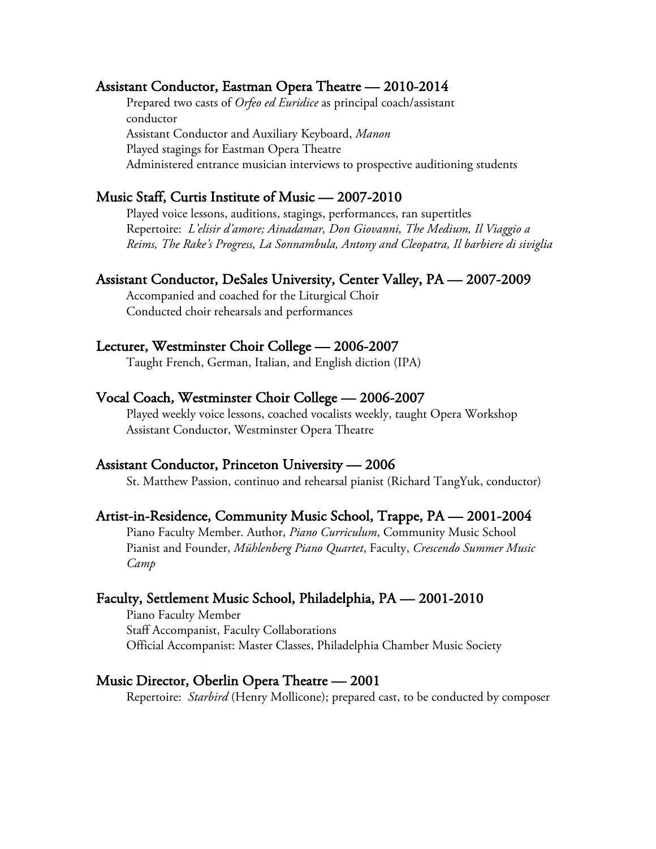### Assistant Conductor, Eastman Opera Theatre — 2010-2014

Prepared two casts of *Orfeo ed Euridice* as principal coach/assistant conductor Assistant Conductor and Auxiliary Keyboard, *Manon*  Played stagings for Eastman Opera Theatre Administered entrance musician interviews to prospective auditioning students

### Music Staff, Curtis Institute of Music — 2007-2010

Played voice lessons, auditions, stagings, performances, ran supertitles Repertoire: *L'elisir d'amore; Ainadamar, Don Giovanni, The Medium, Il Viaggio a Reims, The Rake's Progress, La Sonnambula, Antony and Cleopatra, Il barbiere di siviglia*

### Assistant Conductor, DeSales University, Center Valley, PA — 2007-2009

Accompanied and coached for the Liturgical Choir Conducted choir rehearsals and performances

### Lecturer, Westminster Choir College — 2006-2007

Taught French, German, Italian, and English diction (IPA)

### Vocal Coach, Westminster Choir College — 2006-2007

Played weekly voice lessons, coached vocalists weekly, taught Opera Workshop Assistant Conductor, Westminster Opera Theatre

### Assistant Conductor, Princeton University — 2006

St. Matthew Passion, continuo and rehearsal pianist (Richard TangYuk, conductor)

#### Artist-in-Residence, Community Music School, Trappe, PA — 2001-2004

Piano Faculty Member. Author, *Piano Curriculum*, Community Music School Pianist and Founder, *Mühlenberg Piano Quartet*, Faculty, *Crescendo Summer Music Camp*

### Faculty, Settlement Music School, Philadelphia, PA — 2001-2010

Piano Faculty Member Staff Accompanist, Faculty Collaborations Official Accompanist: Master Classes, Philadelphia Chamber Music Society

### Music Director, Oberlin Opera Theatre — 2001

Repertoire: *Starbird* (Henry Mollicone); prepared cast, to be conducted by composer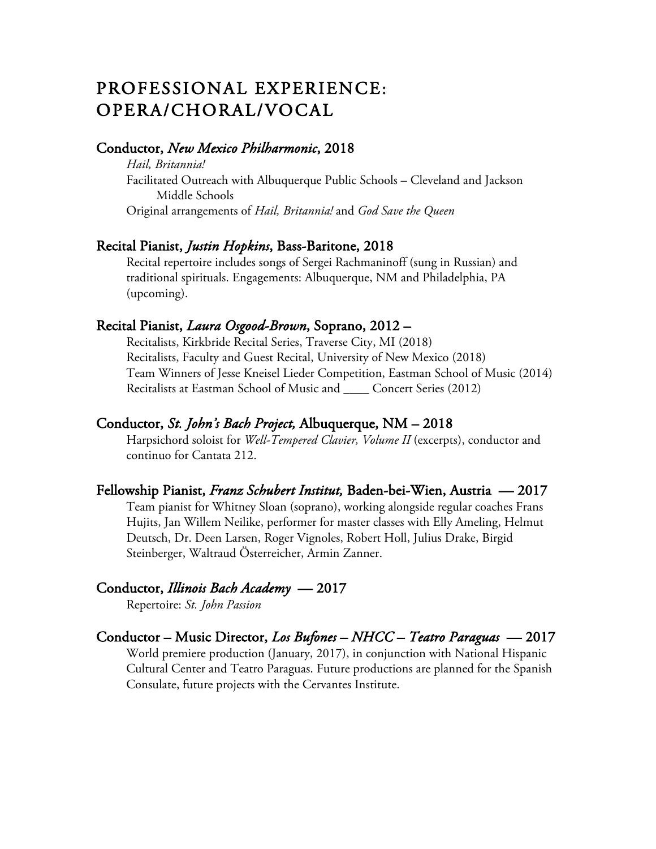### PROFESSIONAL EXPERIENCE: OPERA/CHORAL/VOCAL

### Conductor, *New Mexico Philharmonic*, 2018

 *Hail, Britannia!*  Facilitated Outreach with Albuquerque Public Schools – Cleveland and Jackson Middle Schools Original arrangements of *Hail, Britannia!* and *God Save the Queen*

### Recital Pianist, *Justin Hopkins*, Bass-Baritone, 2018

 Recital repertoire includes songs of Sergei Rachmaninoff (sung in Russian) and traditional spirituals. Engagements: Albuquerque, NM and Philadelphia, PA (upcoming).

### Recital Pianist, *Laura Osgood-Brown*, Soprano, 2012 –

Recitalists, Kirkbride Recital Series, Traverse City, MI (2018) Recitalists, Faculty and Guest Recital, University of New Mexico (2018) Team Winners of Jesse Kneisel Lieder Competition, Eastman School of Music (2014) Recitalists at Eastman School of Music and \_\_\_\_ Concert Series (2012)

### Conductor, *St. John's Bach Project,* Albuquerque, NM – 2018

Harpsichord soloist for *Well-Tempered Clavier, Volume II* (excerpts), conductor and continuo for Cantata 212.

### Fellowship Pianist, *Franz Schubert Institut,* Baden-bei-Wien, Austria— 2017

Team pianist for Whitney Sloan (soprano), working alongside regular coaches Frans Hujits, Jan Willem Neilike, performer for master classes with Elly Ameling, Helmut Deutsch, Dr. Deen Larsen, Roger Vignoles, Robert Holl, Julius Drake, Birgid Steinberger, Waltraud Österreicher, Armin Zanner.

### Conductor, *Illinois Bach Academy* — 2017

Repertoire: *St. John Passion*

### Conductor – Music Director, *Los Bufones – NHCC – Teatro Paraguas* — 2017 World premiere production (January, 2017), in conjunction with National Hispanic

Cultural Center and Teatro Paraguas. Future productions are planned for the Spanish Consulate, future projects with the Cervantes Institute.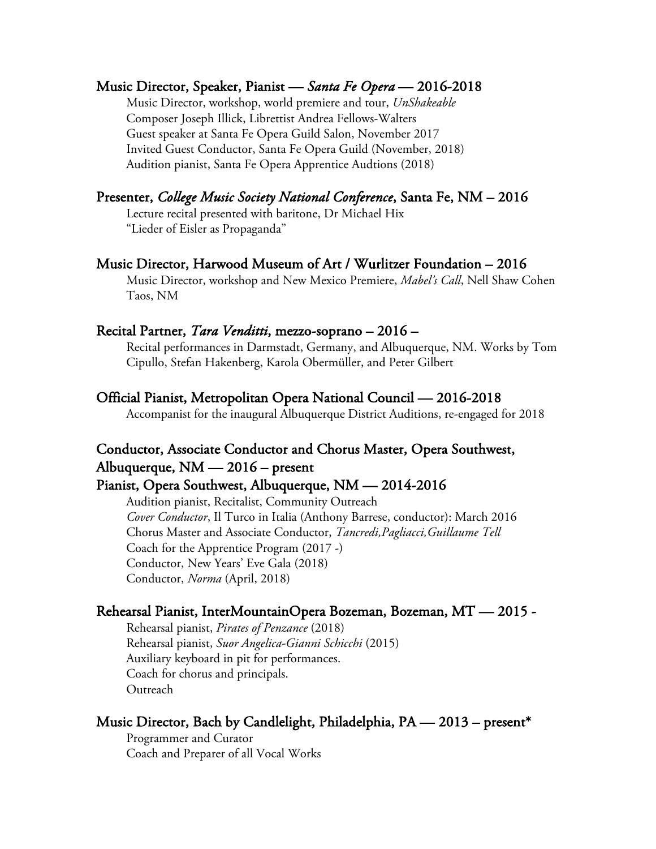### Music Director, Speaker, Pianist — *Santa Fe Opera* — 2016-2018

Music Director, workshop, world premiere and tour, *UnShakeable* Composer Joseph Illick, Librettist Andrea Fellows-Walters Guest speaker at Santa Fe Opera Guild Salon, November 2017 Invited Guest Conductor, Santa Fe Opera Guild (November, 2018) Audition pianist, Santa Fe Opera Apprentice Audtions (2018)

### Presenter, *College Music Society National Conference*, Santa Fe, NM – 2016

 Lecture recital presented with baritone, Dr Michael Hix "Lieder of Eisler as Propaganda"

### Music Director, Harwood Museum of Art / Wurlitzer Foundation – 2016

Music Director, workshop and New Mexico Premiere, *Mabel's Call*, Nell Shaw Cohen Taos, NM

### Recital Partner, *Tara Venditti*, mezzo-soprano – 2016 –

Recital performances in Darmstadt, Germany, and Albuquerque, NM. Works by Tom Cipullo, Stefan Hakenberg, Karola Obermüller, and Peter Gilbert

### Official Pianist, Metropolitan Opera National Council — 2016-2018

Accompanist for the inaugural Albuquerque District Auditions, re-engaged for 2018

### Conductor, Associate Conductor and Chorus Master, Opera Southwest, Albuquerque, NM — 2016 – present

### Pianist, Opera Southwest, Albuquerque, NM — 2014-2016

Audition pianist, Recitalist, Community Outreach *Cover Conductor*, Il Turco in Italia (Anthony Barrese, conductor): March 2016 Chorus Master and Associate Conductor, *Tancredi,Pagliacci,Guillaume Tell* Coach for the Apprentice Program (2017 -) Conductor, New Years' Eve Gala (2018) Conductor, *Norma* (April, 2018)

### Rehearsal Pianist, InterMountainOpera Bozeman, Bozeman, MT — 2015 -

Rehearsal pianist, *Pirates of Penzance* (2018) Rehearsal pianist, *Suor Angelica-Gianni Schicchi* (2015) Auxiliary keyboard in pit for performances. Coach for chorus and principals. **Outreach** 

### Music Director, Bach by Candlelight, Philadelphia,  $PA = 2013 - present^*$

Programmer and Curator Coach and Preparer of all Vocal Works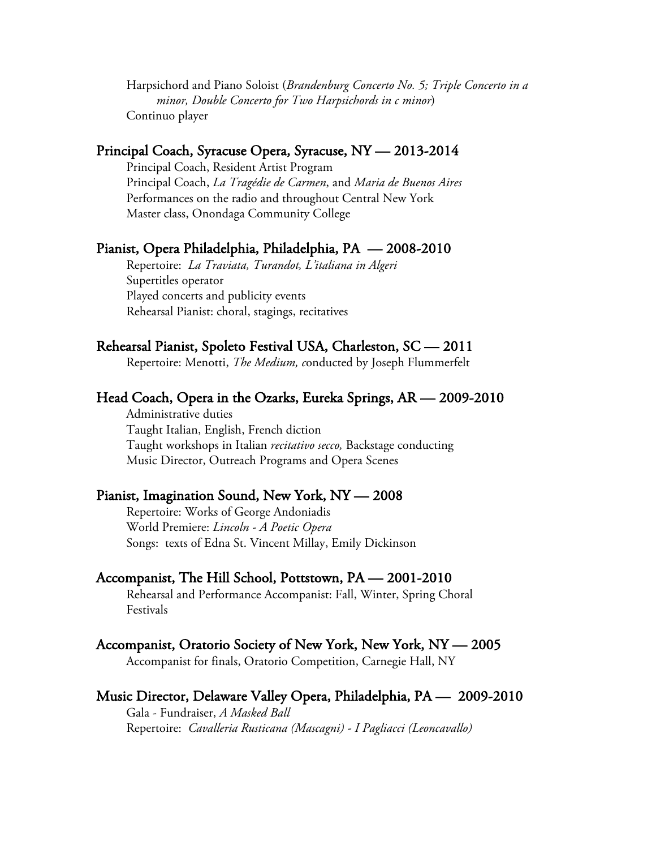Harpsichord and Piano Soloist (*Brandenburg Concerto No. 5; Triple Concerto in a minor, Double Concerto for Two Harpsichords in c minor*) Continuo player

### Principal Coach, Syracuse Opera, Syracuse, NY — 2013-2014

Principal Coach, Resident Artist Program Principal Coach, *La Tragédie de Carmen*, and *Maria de Buenos Aires* Performances on the radio and throughout Central New York Master class, Onondaga Community College

#### Pianist, Opera Philadelphia, Philadelphia, PA — 2008-2010

Repertoire: *La Traviata, Turandot, L'italiana in Algeri* Supertitles operator Played concerts and publicity events Rehearsal Pianist: choral, stagings, recitatives

### Rehearsal Pianist, Spoleto Festival USA, Charleston, SC — 2011

Repertoire: Menotti, *The Medium, c*onducted by Joseph Flummerfelt

#### Head Coach, Opera in the Ozarks, Eureka Springs, AR — 2009-2010

Administrative duties Taught Italian, English, French diction Taught workshops in Italian *recitativo secco,* Backstage conducting Music Director, Outreach Programs and Opera Scenes

#### Pianist, Imagination Sound, New York, NY — 2008

Repertoire: Works of George Andoniadis World Premiere: *Lincoln - A Poetic Opera* Songs: texts of Edna St. Vincent Millay, Emily Dickinson

#### Accompanist, The Hill School, Pottstown, PA — 2001-2010

Rehearsal and Performance Accompanist: Fall, Winter, Spring Choral Festivals

#### Accompanist, Oratorio Society of New York, New York, NY — 2005

Accompanist for finals, Oratorio Competition, Carnegie Hall, NY

#### Music Director, Delaware Valley Opera, Philadelphia, PA — 2009-2010

Gala - Fundraiser, *A Masked Ball* Repertoire: *Cavalleria Rusticana (Mascagni) - I Pagliacci (Leoncavallo)*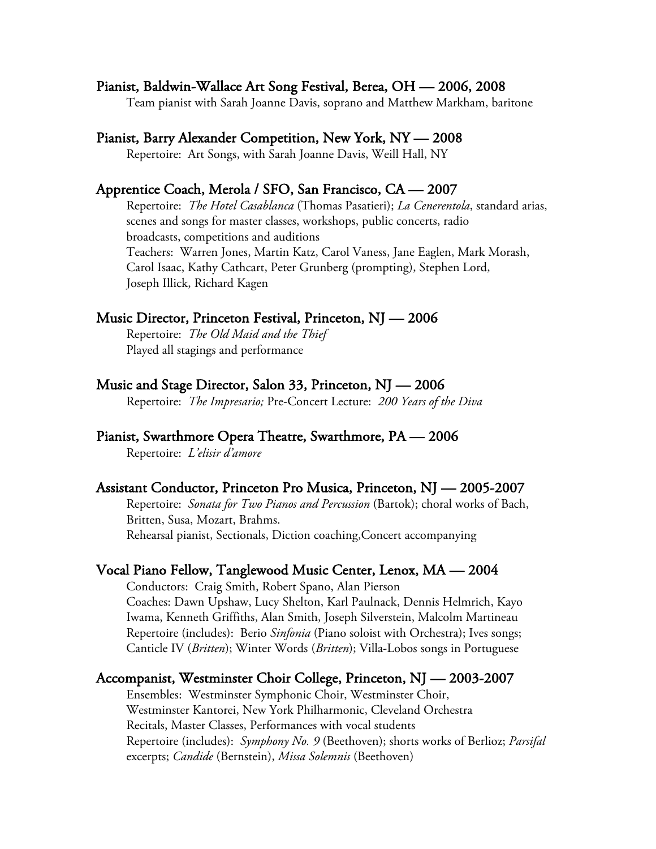### Pianist, Baldwin-Wallace Art Song Festival, Berea, OH — 2006, 2008

Team pianist with Sarah Joanne Davis, soprano and Matthew Markham, baritone

### Pianist, Barry Alexander Competition, New York, NY — 2008

Repertoire: Art Songs, with Sarah Joanne Davis, Weill Hall, NY

### Apprentice Coach, Merola / SFO, San Francisco, CA — 2007

Repertoire: *The Hotel Casablanca* (Thomas Pasatieri); *La Cenerentola*, standard arias, scenes and songs for master classes, workshops, public concerts, radio broadcasts, competitions and auditions Teachers: Warren Jones, Martin Katz, Carol Vaness, Jane Eaglen, Mark Morash, Carol Isaac, Kathy Cathcart, Peter Grunberg (prompting), Stephen Lord, Joseph Illick, Richard Kagen

### Music Director, Princeton Festival, Princeton, NJ — 2006

Repertoire: *The Old Maid and the Thief*  Played all stagings and performance

### Music and Stage Director, Salon 33, Princeton, NJ — 2006

Repertoire: *The Impresario;* Pre-Concert Lecture: *200 Years of the Diva*

### Pianist, Swarthmore Opera Theatre, Swarthmore, PA — 2006

Repertoire: *L'elisir d'amore*

#### Assistant Conductor, Princeton Pro Musica, Princeton, NJ — 2005-2007

Repertoire: *Sonata for Two Pianos and Percussion* (Bartok); choral works of Bach, Britten, Susa, Mozart, Brahms. Rehearsal pianist, Sectionals, Diction coaching,Concert accompanying

### Vocal Piano Fellow, Tanglewood Music Center, Lenox, MA — 2004

Conductors: Craig Smith, Robert Spano, Alan Pierson Coaches: Dawn Upshaw, Lucy Shelton, Karl Paulnack, Dennis Helmrich, Kayo Iwama, Kenneth Griffiths, Alan Smith, Joseph Silverstein, Malcolm Martineau Repertoire (includes): Berio *Sinfonia* (Piano soloist with Orchestra); Ives songs; Canticle IV (*Britten*); Winter Words (*Britten*); Villa-Lobos songs in Portuguese

#### Accompanist, Westminster Choir College, Princeton, NJ — 2003-2007

Ensembles: Westminster Symphonic Choir, Westminster Choir, Westminster Kantorei, New York Philharmonic, Cleveland Orchestra Recitals, Master Classes, Performances with vocal students Repertoire (includes): *Symphony No. 9* (Beethoven); shorts works of Berlioz; *Parsifal*  excerpts; *Candide* (Bernstein), *Missa Solemnis* (Beethoven)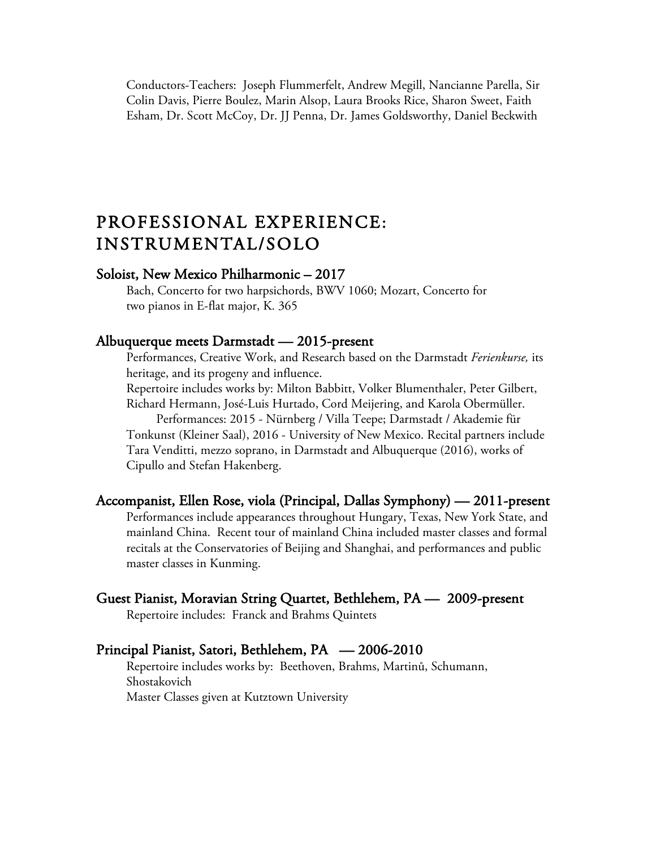Conductors-Teachers: Joseph Flummerfelt, Andrew Megill, Nancianne Parella, Sir Colin Davis, Pierre Boulez, Marin Alsop, Laura Brooks Rice, Sharon Sweet, Faith Esham, Dr. Scott McCoy, Dr. JJ Penna, Dr. James Goldsworthy, Daniel Beckwith

### PROFESSIONAL EXPERIENCE: INSTRUMENTAL/SOLO

### Soloist, New Mexico Philharmonic – 2017

 Bach, Concerto for two harpsichords, BWV 1060; Mozart, Concerto for two pianos in E-flat major, K. 365

#### Albuquerque meets Darmstadt — 2015-present

Performances, Creative Work, and Research based on the Darmstadt *Ferienkurse,* its heritage, and its progeny and influence.

Repertoire includes works by: Milton Babbitt, Volker Blumenthaler, Peter Gilbert, Richard Hermann, José-Luis Hurtado, Cord Meijering, and Karola Obermüller.

Performances: 2015 - Nürnberg / Villa Teepe; Darmstadt / Akademie für Tonkunst (Kleiner Saal), 2016 - University of New Mexico. Recital partners include Tara Venditti, mezzo soprano, in Darmstadt and Albuquerque (2016), works of Cipullo and Stefan Hakenberg.

### Accompanist, Ellen Rose, viola (Principal, Dallas Symphony) — 2011-present

Performances include appearances throughout Hungary, Texas, New York State, and mainland China. Recent tour of mainland China included master classes and formal recitals at the Conservatories of Beijing and Shanghai, and performances and public master classes in Kunming.

### Guest Pianist, Moravian String Quartet, Bethlehem, PA — 2009-present

Repertoire includes: Franck and Brahms Quintets

### Principal Pianist, Satori, Bethlehem, PA — 2006-2010

Repertoire includes works by: Beethoven, Brahms, Martinů, Schumann, Shostakovich Master Classes given at Kutztown University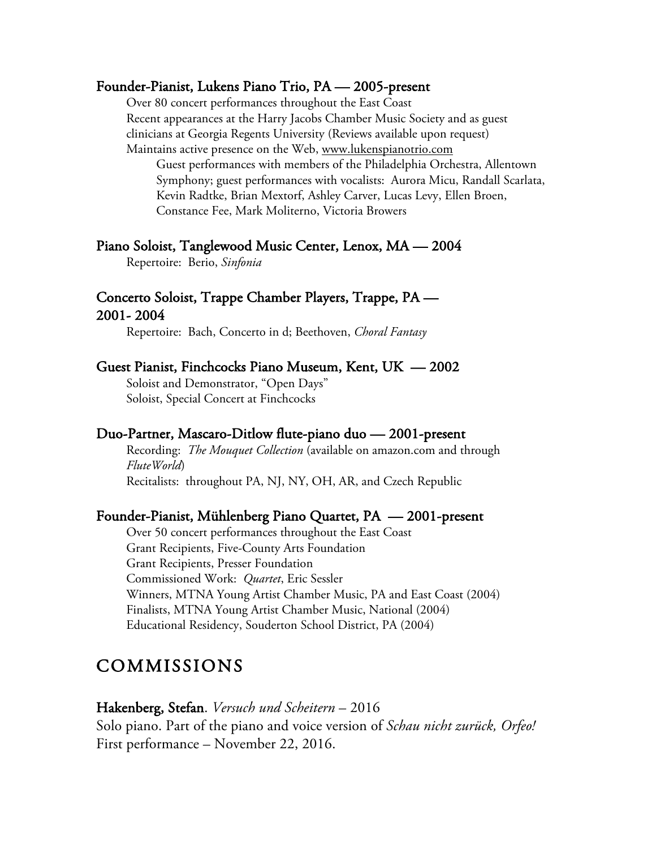### Founder-Pianist, Lukens Piano Trio, PA — 2005-present

Over 80 concert performances throughout the East Coast Recent appearances at the Harry Jacobs Chamber Music Society and as guest clinicians at Georgia Regents University (Reviews available upon request)

Maintains active presence on the Web, www.lukenspianotrio.com Guest performances with members of the Philadelphia Orchestra, Allentown Symphony; guest performances with vocalists: Aurora Micu, Randall Scarlata, Kevin Radtke, Brian Mextorf, Ashley Carver, Lucas Levy, Ellen Broen, Constance Fee, Mark Moliterno, Victoria Browers

### Piano Soloist, Tanglewood Music Center, Lenox, MA — 2004

Repertoire: Berio, *Sinfonia*

### Concerto Soloist, Trappe Chamber Players, Trappe, PA — 2001- 2004

Repertoire: Bach, Concerto in d; Beethoven, *Choral Fantasy*

### Guest Pianist, Finchcocks Piano Museum, Kent, UK — 2002

Soloist and Demonstrator, "Open Days" Soloist, Special Concert at Finchcocks

### Duo-Partner, Mascaro-Ditlow flute-piano duo — 2001-present

Recording: *The Mouquet Collection* (available on amazon.com and through *FluteWorld*) Recitalists: throughout PA, NJ, NY, OH, AR, and Czech Republic

### Founder-Pianist, Mühlenberg Piano Quartet, PA — 2001-present

Over 50 concert performances throughout the East Coast Grant Recipients, Five-County Arts Foundation Grant Recipients, Presser Foundation Commissioned Work: *Quartet*, Eric Sessler Winners, MTNA Young Artist Chamber Music, PA and East Coast (2004) Finalists, MTNA Young Artist Chamber Music, National (2004) Educational Residency, Souderton School District, PA (2004)

### COMMISSIONS

### Hakenberg, Stefan. *Versuch und Scheitern* – 2016 Solo piano. Part of the piano and voice version of *Schau nicht zurück, Orfeo!*  First performance – November 22, 2016.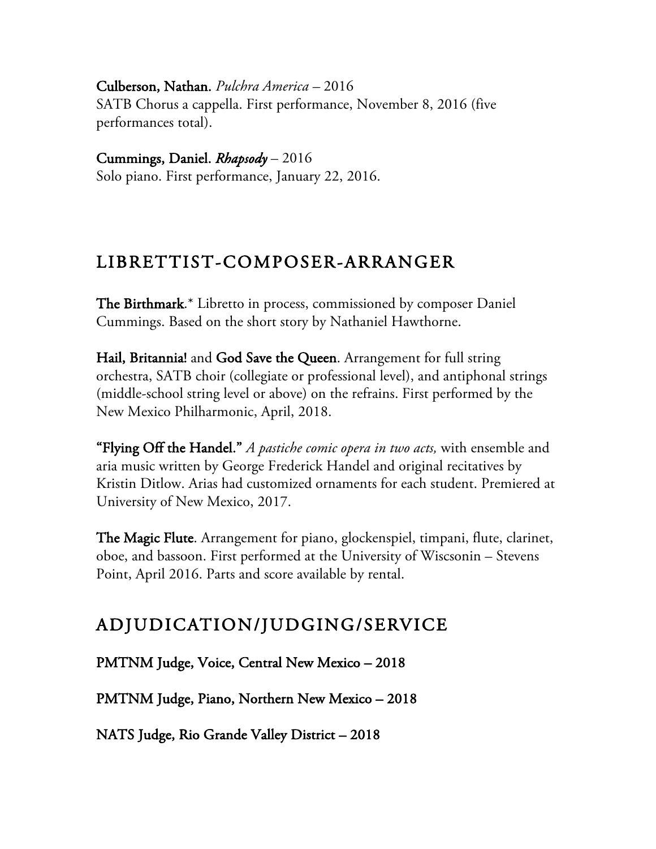Culberson, Nathan. *Pulchra America –* 2016 SATB Chorus a cappella. First performance, November 8, 2016 (five performances total).

Cummings, Daniel. *Rhapsody* – 2016 Solo piano. First performance, January 22, 2016.

### LIBRETTIST-COMPOSER-ARRANGER

The Birthmark.\* Libretto in process, commissioned by composer Daniel Cummings. Based on the short story by Nathaniel Hawthorne.

Hail, Britannia! and God Save the Queen. Arrangement for full string orchestra, SATB choir (collegiate or professional level), and antiphonal strings (middle-school string level or above) on the refrains. First performed by the New Mexico Philharmonic, April, 2018.

"Flying Off the Handel." *A pastiche comic opera in two acts,* with ensemble and aria music written by George Frederick Handel and original recitatives by Kristin Ditlow. Arias had customized ornaments for each student. Premiered at University of New Mexico, 2017.

The Magic Flute. Arrangement for piano, glockenspiel, timpani, flute, clarinet, oboe, and bassoon. First performed at the University of Wiscsonin – Stevens Point, April 2016. Parts and score available by rental.

## ADJUDICATION/JUDGING/SERVICE

PMTNM Judge, Voice, Central New Mexico – 2018

PMTNM Judge, Piano, Northern New Mexico – 2018

NATS Judge, Rio Grande Valley District – 2018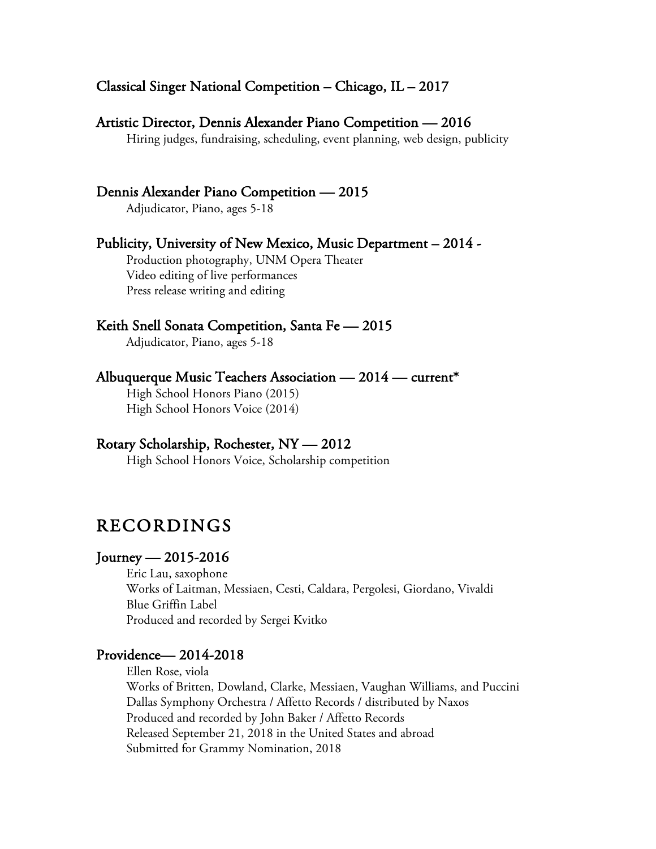### Classical Singer National Competition – Chicago, IL – 2017

### Artistic Director, Dennis Alexander Piano Competition — 2016

Hiring judges, fundraising, scheduling, event planning, web design, publicity

### Dennis Alexander Piano Competition — 2015

Adjudicator, Piano, ages 5-18

### Publicity, University of New Mexico, Music Department – 2014 -

 Production photography, UNM Opera Theater Video editing of live performances Press release writing and editing

### Keith Snell Sonata Competition, Santa Fe — 2015

Adjudicator, Piano, ages 5-18

### Albuquerque Music Teachers Association — 2014 — current\*

High School Honors Piano (2015) High School Honors Voice (2014)

### Rotary Scholarship, Rochester, NY — 2012

High School Honors Voice, Scholarship competition

### RECORDINGS

### Journey — 2015-2016

Eric Lau, saxophone Works of Laitman, Messiaen, Cesti, Caldara, Pergolesi, Giordano, Vivaldi Blue Griffin Label Produced and recorded by Sergei Kvitko

### Providence— 2014-2018

Ellen Rose, viola Works of Britten, Dowland, Clarke, Messiaen, Vaughan Williams, and Puccini Dallas Symphony Orchestra / Affetto Records / distributed by Naxos Produced and recorded by John Baker / Affetto Records Released September 21, 2018 in the United States and abroad Submitted for Grammy Nomination, 2018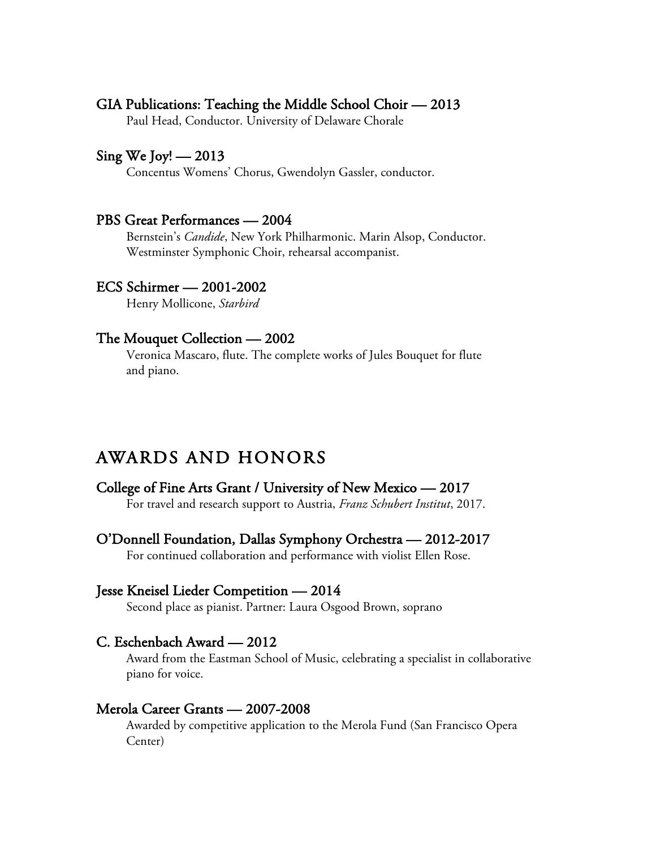### GIA Publications: Teaching the Middle School Choir — 2013

Paul Head, Conductor. University of Delaware Chorale

### Sing We Joy!  $-2013$

Concentus Womens' Chorus, Gwendolyn Gassler, conductor.

### PBS Great Performances — 2004

Bernstein's *Candide*, New York Philharmonic. Marin Alsop, Conductor. Westminster Symphonic Choir, rehearsal accompanist.

### ECS Schirmer — 2001-2002

Henry Mollicone, *Starbird*

#### The Mouquet Collection — 2002

Veronica Mascaro, flute. The complete works of Jules Bouquet for flute and piano.

### AWARDS AND HONORS

### College of Fine Arts Grant / University of New Mexico — 2017

For travel and research support to Austria, *Franz Schubert Institut*, 2017.

O'Donnell Foundation, Dallas Symphony Orchestra — 2012-2017

For continued collaboration and performance with violist Ellen Rose.

#### Jesse Kneisel Lieder Competition — 2014

Second place as pianist. Partner: Laura Osgood Brown, soprano

### C. Eschenbach Award — 2012

 Award from the Eastman School of Music, celebrating a specialist in collaborative piano for voice.

Merola Career Grants — 2007-2008 Awarded by competitive application to the Merola Fund (San Francisco Opera Center)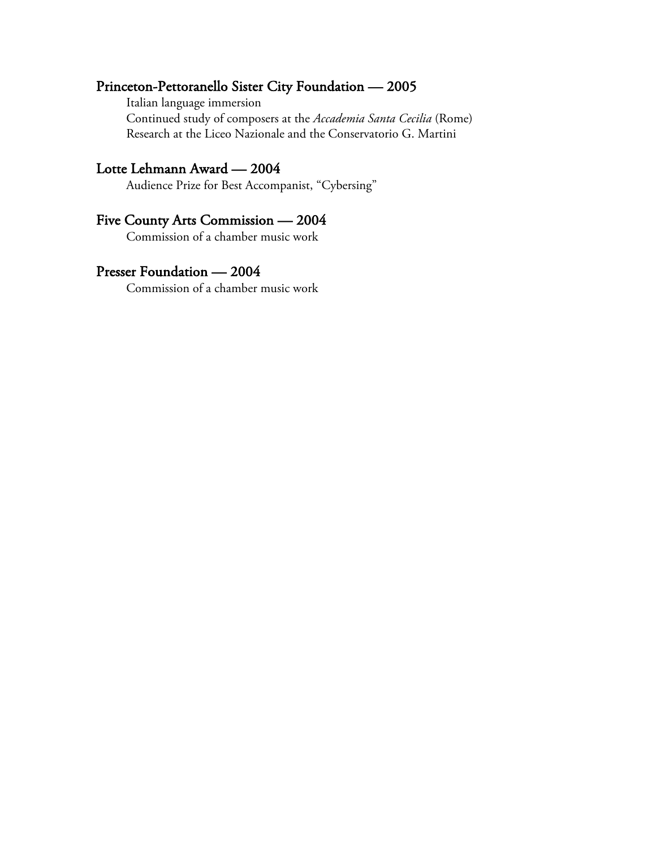### Princeton-Pettoranello Sister City Foundation — 2005

Italian language immersion

Continued study of composers at the *Accademia Santa Cecilia* (Rome) Research at the Liceo Nazionale and the Conservatorio G. Martini

Lotte Lehmann Award — 2004<br>Audience Prize for Best Accompanist, "Cybersing"

### Five County Arts Commission — 2004

Commission of a chamber music work

### Presser Foundation — 2004

Commission of a chamber music work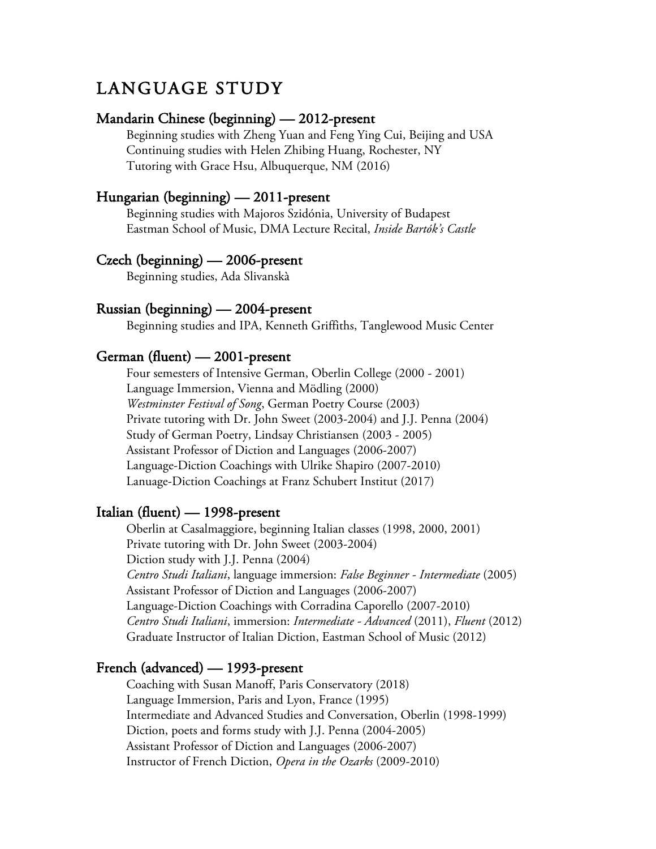### LANGUAGE STUDY

### Mandarin Chinese (beginning) — 2012-present

Beginning studies with Zheng Yuan and Feng Ying Cui, Beijing and USA Continuing studies with Helen Zhibing Huang, Rochester, NY Tutoring with Grace Hsu, Albuquerque, NM (2016)

### Hungarian (beginning) — 2011-present

Beginning studies with Majoros Szidónia, University of Budapest Eastman School of Music, DMA Lecture Recital, *Inside Bartók's Castle*

### Czech (beginning) — 2006-present

Beginning studies, Ada Slivanskà

### Russian (beginning) — 2004-present

Beginning studies and IPA, Kenneth Griffiths, Tanglewood Music Center

### German (fluent) — 2001-present

Four semesters of Intensive German, Oberlin College (2000 - 2001) Language Immersion, Vienna and Mödling (2000) *Westminster Festival of Song*, German Poetry Course (2003) Private tutoring with Dr. John Sweet (2003-2004) and J.J. Penna (2004) Study of German Poetry, Lindsay Christiansen (2003 - 2005) Assistant Professor of Diction and Languages (2006-2007) Language-Diction Coachings with Ulrike Shapiro (2007-2010) Lanuage-Diction Coachings at Franz Schubert Institut (2017)

### Italian (fluent) — 1998-present

Oberlin at Casalmaggiore, beginning Italian classes (1998, 2000, 2001) Private tutoring with Dr. John Sweet (2003-2004) Diction study with J.J. Penna (2004) *Centro Studi Italiani*, language immersion: *False Beginner - Intermediate* (2005) Assistant Professor of Diction and Languages (2006-2007) Language-Diction Coachings with Corradina Caporello (2007-2010) *Centro Studi Italiani*, immersion: *Intermediate - Advanced* (2011), *Fluent* (2012) Graduate Instructor of Italian Diction, Eastman School of Music (2012)

### French (advanced) — 1993-present

Coaching with Susan Manoff, Paris Conservatory (2018) Language Immersion, Paris and Lyon, France (1995) Intermediate and Advanced Studies and Conversation, Oberlin (1998-1999) Diction, poets and forms study with J.J. Penna (2004-2005) Assistant Professor of Diction and Languages (2006-2007) Instructor of French Diction, *Opera in the Ozarks* (2009-2010)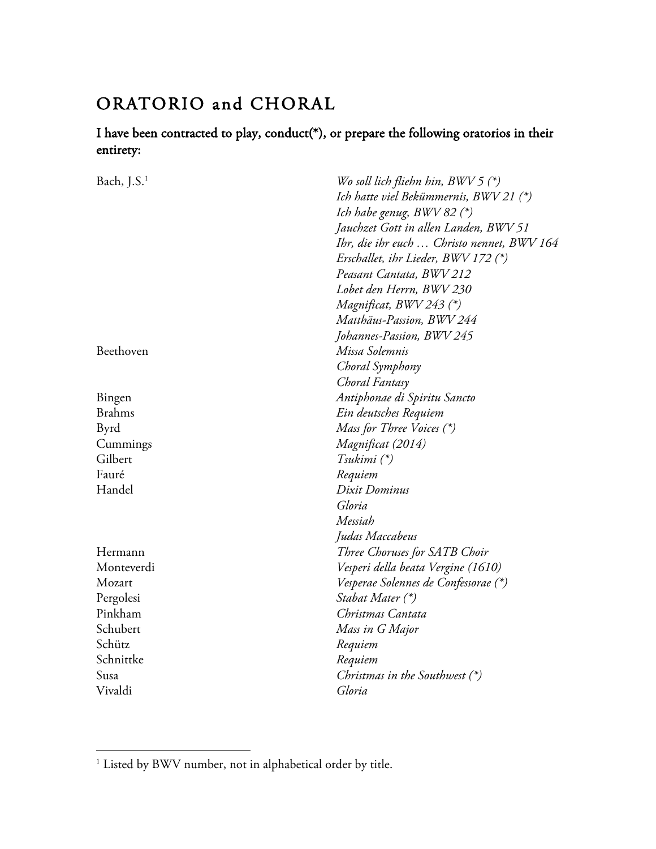### ORATORIO and CHORAL

### I have been contracted to play, conduct(\*), or prepare the following oratorios in their entirety:

| Bach, $J.S.1$ | Wo soll lich fliehn hin, $BWV5$ (*)        |
|---------------|--------------------------------------------|
|               | Ich hatte viel Bekümmernis, BWV 21 (*)     |
|               | Ich habe genug, BWV 82 (*)                 |
|               | Jauchzet Gott in allen Landen, BWV 51      |
|               | Ihr, die ihr euch  Christo nennet, BWV 164 |
|               | Erschallet, ihr Lieder, BWV 172 (*)        |
|               | Peasant Cantata, BWV 212                   |
|               | Lobet den Herrn, BWV 230                   |
|               | Magnificat, BWV 243 (*)                    |
|               | Matthäus-Passion, BWV 244                  |
|               | Johannes-Passion, BWV 245                  |
| Beethoven     | Missa Solemnis                             |
|               | Choral Symphony                            |
|               | Choral Fantasy                             |
| Bingen        | Antiphonae di Spiritu Sancto               |
| <b>Brahms</b> | Ein deutsches Requiem                      |
| Byrd          | Mass for Three Voices (*)                  |
| Cummings      | Magnificat (2014)                          |
| Gilbert       | $Tsubimi (*)$                              |
| Fauré         | Requiem                                    |
| Handel        | Dixit Dominus                              |
|               | Gloria                                     |
|               | Messiah                                    |
|               | Judas Maccabeus                            |
| Hermann       | Three Choruses for SATB Choir              |
| Monteverdi    | Vesperi della beata Vergine (1610)         |
| Mozart        | Vesperae Solennes de Confessorae (*)       |
| Pergolesi     | Stabat Mater (*)                           |
| Pinkham       | Christmas Cantata                          |
| Schubert      | Mass in G Major                            |
| Schütz        | Requiem                                    |
| Schnittke     | Requiem                                    |
| Susa          | Christmas in the Southwest $(*)$           |
| Vivaldi       | Gloria                                     |

 

<sup>&</sup>lt;sup>1</sup> Listed by BWV number, not in alphabetical order by title.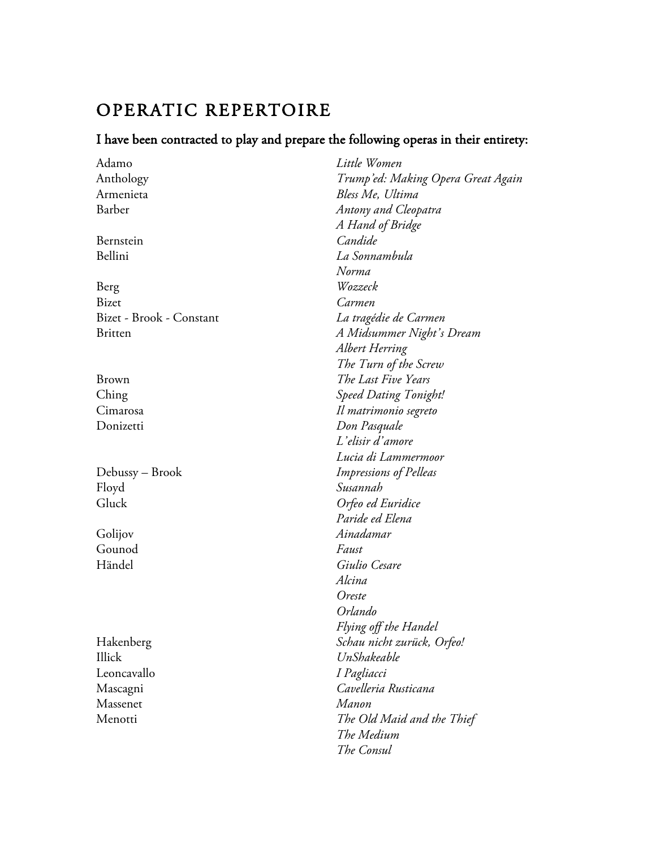## OPERATIC REPERTOIRE

### I have been contracted to play and prepare the following operas in their entirety:

| Adamo                    | Little Women                       |
|--------------------------|------------------------------------|
| Anthology                | Trump'ed: Making Opera Great Again |
| Armenieta                | Bless Me, Ultima                   |
| Barber                   | Antony and Cleopatra               |
|                          | A Hand of Bridge                   |
| Bernstein                | Candide                            |
| Bellini                  | La Sonnambula                      |
|                          | Norma                              |
| Berg                     | Wozzeck                            |
| <b>Bizet</b>             | Carmen                             |
| Bizet - Brook - Constant | La tragédie de Carmen              |
| <b>Britten</b>           | A Midsummer Night's Dream          |
|                          | Albert Herring                     |
|                          | The Turn of the Screw              |
| <b>Brown</b>             | The Last Five Years                |
| Ching                    | <b>Speed Dating Tonight!</b>       |
| Cimarosa                 | Il matrimonio segreto              |
| Donizetti                | Don Pasquale                       |
|                          | L'elisir d'amore                   |
|                          | Lucia di Lammermoor                |
| Debussy – Brook          | Impressions of Pelleas             |
| Floyd                    | Susannah                           |
| Gluck                    | Orfeo ed Euridice                  |
|                          | Paride ed Elena                    |
| Golijov                  | Ainadamar                          |
| Gounod                   | Faust                              |
| Händel                   | Giulio Cesare                      |
|                          | Alcina                             |
|                          | Oreste                             |
|                          | Orlando                            |
|                          | Flying off the Handel              |
| Hakenberg                | Schau nicht zurück, Orfeo!         |
| Illick                   | UnShakeable                        |
| Leoncavallo              | I Pagliacci                        |
| Mascagni                 | Cavelleria Rusticana               |
| Massenet                 | Manon                              |
| Menotti                  | The Old Maid and the Thief         |
|                          | The Medium                         |
|                          | The Consul                         |
|                          |                                    |